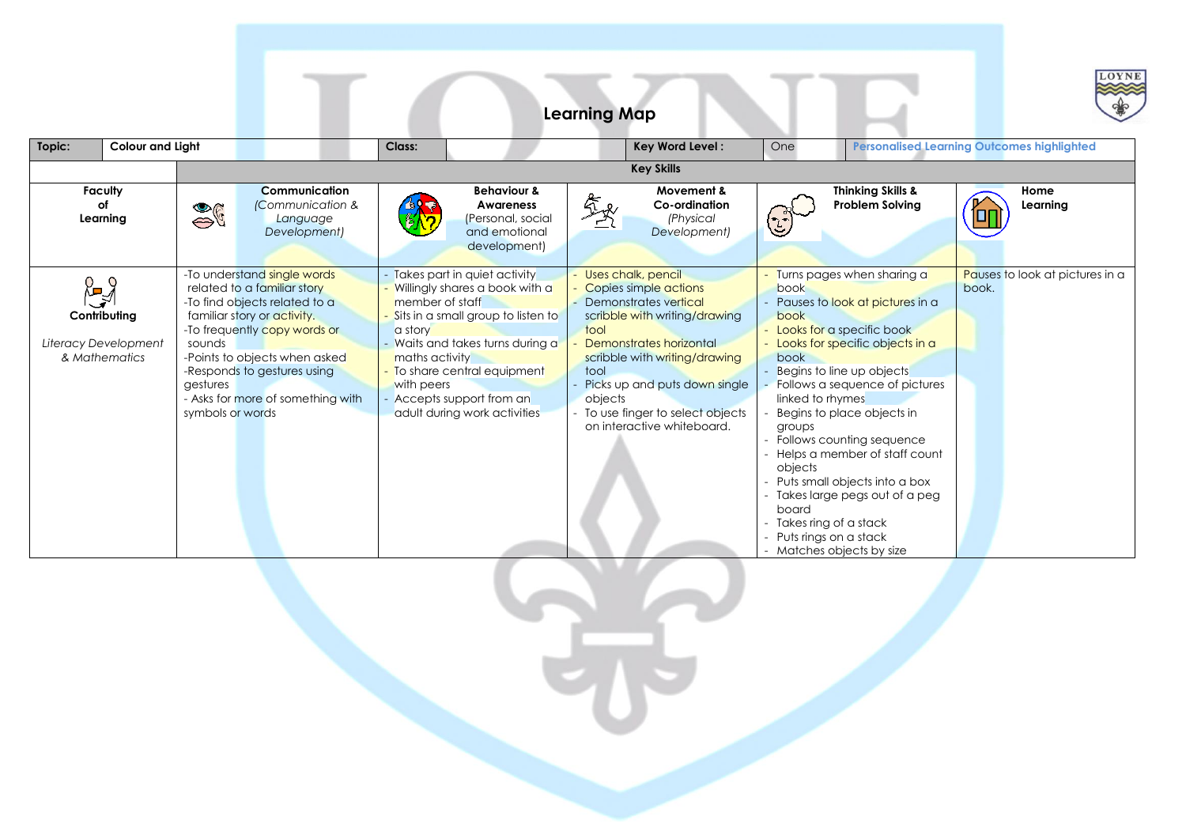|                                                             |                                        |                                                                                                                                                                                                                                                                 |                                                                                                                                                                                                                                                                                                 | <b>Learning Map</b>     |                                                                                                                                                                                                                                                                           |                                                                                                                                                                                                                                                                                                                                                                                                                                                                                                                                   | LOYNE                                             |  |  |  |
|-------------------------------------------------------------|----------------------------------------|-----------------------------------------------------------------------------------------------------------------------------------------------------------------------------------------------------------------------------------------------------------------|-------------------------------------------------------------------------------------------------------------------------------------------------------------------------------------------------------------------------------------------------------------------------------------------------|-------------------------|---------------------------------------------------------------------------------------------------------------------------------------------------------------------------------------------------------------------------------------------------------------------------|-----------------------------------------------------------------------------------------------------------------------------------------------------------------------------------------------------------------------------------------------------------------------------------------------------------------------------------------------------------------------------------------------------------------------------------------------------------------------------------------------------------------------------------|---------------------------------------------------|--|--|--|
| Topic:<br><b>Colour and Light</b>                           |                                        |                                                                                                                                                                                                                                                                 | Class:                                                                                                                                                                                                                                                                                          |                         | Key Word Level:                                                                                                                                                                                                                                                           | One                                                                                                                                                                                                                                                                                                                                                                                                                                                                                                                               | <b>Personalised Learning Outcomes highlighted</b> |  |  |  |
|                                                             | <b>Key Skills</b>                      |                                                                                                                                                                                                                                                                 |                                                                                                                                                                                                                                                                                                 |                         |                                                                                                                                                                                                                                                                           |                                                                                                                                                                                                                                                                                                                                                                                                                                                                                                                                   |                                                   |  |  |  |
| <b>Faculty</b><br>of<br>Learning                            | $\frac{1}{26}$                         | <b>Communication</b><br>(Communication &<br>Language<br>Development)                                                                                                                                                                                            | <b>Behaviour &amp;</b><br>Awareness<br>(Personal, social<br>and emotional<br>development)                                                                                                                                                                                                       |                         | Movement &<br>Co-ordination<br>(Physical<br>Development)                                                                                                                                                                                                                  | <b>Thinking Skills &amp;</b><br><b>Problem Solving</b>                                                                                                                                                                                                                                                                                                                                                                                                                                                                            | Home<br>Learning                                  |  |  |  |
| ့⊾<br>Contributing<br>Literacy Development<br>& Mathematics | sounds<br>gestures<br>symbols or words | -To understand single words<br>related to a familiar story<br>-To find objects related to a<br>familiar story or activity.<br>-To frequently copy words or<br>-Points to objects when asked<br>-Responds to gestures using<br>- Asks for more of something with | Takes part in quiet activity<br>Willingly shares a book with a<br>member of staff<br>Sits in a small group to listen to<br>a story<br>Waits and takes turns during a<br>maths activity<br>To share central equipment<br>with peers<br>- Accepts support from an<br>adult during work activities | tool<br>tool<br>obiects | - Uses chalk, pencil<br>Copies simple actions<br>- Demonstrates vertical<br>scribble with writing/drawing<br>Demonstrates horizontal<br>scribble with writing/drawing<br>Picks up and puts down single<br>- To use finger to select objects<br>on interactive whiteboard. | - Turns pages when sharing a<br>book<br>Pauses to look at pictures in a<br>book<br>Looks for a specific book<br>- Looks for specific objects in a<br>book<br>Begins to line up objects<br>Follows a sequence of pictures<br>linked to rhymes<br>Begins to place objects in<br>groups<br>- Follows counting sequence<br>- Helps a member of staff count<br>objects<br>- Puts small objects into a box<br>- Takes large pegs out of a peg<br>board<br>- Takes ring of a stack<br>- Puts rings on a stack<br>Matches objects by size | Pauses to look at pictures in a<br>book.          |  |  |  |
|                                                             |                                        |                                                                                                                                                                                                                                                                 |                                                                                                                                                                                                                                                                                                 |                         |                                                                                                                                                                                                                                                                           |                                                                                                                                                                                                                                                                                                                                                                                                                                                                                                                                   |                                                   |  |  |  |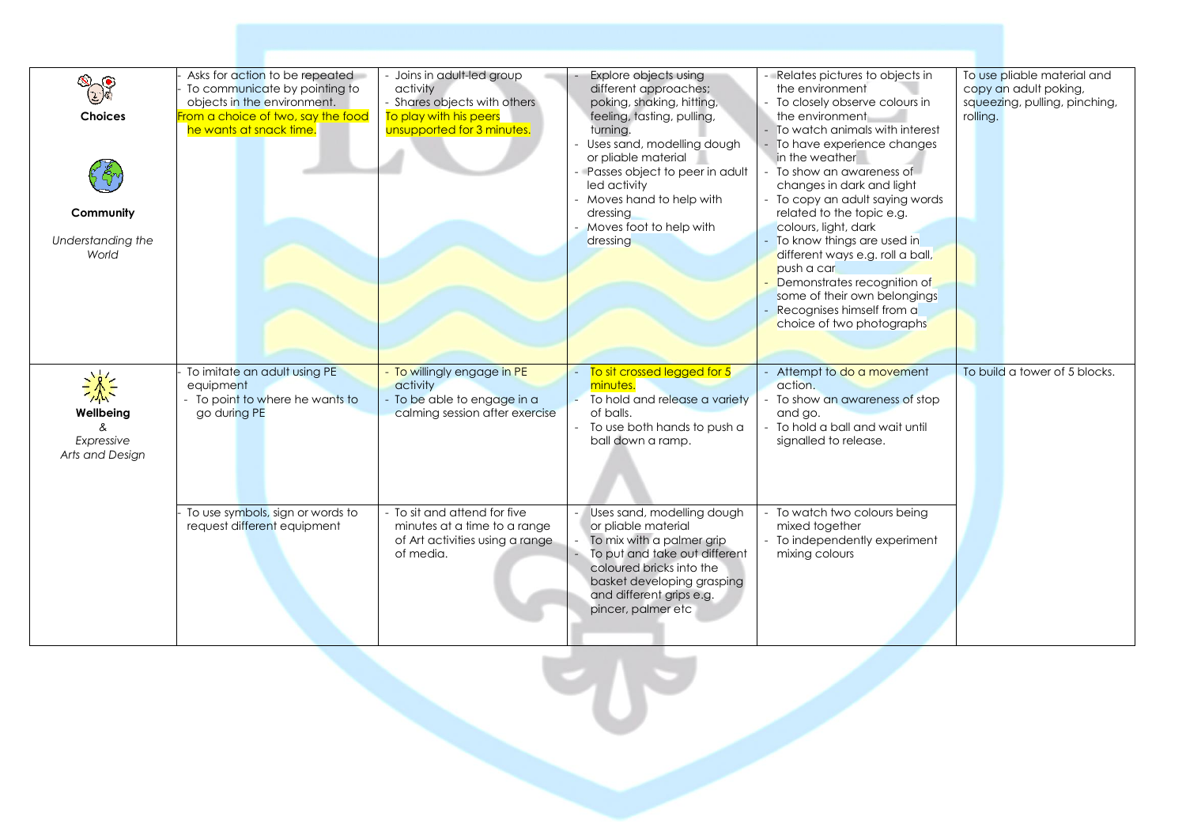|                                   | Asks for action to be repeated               | Joins in adult-led group              | Explore objects using                   | Relates pictures to objects in                 | To use pliable material and   |
|-----------------------------------|----------------------------------------------|---------------------------------------|-----------------------------------------|------------------------------------------------|-------------------------------|
| $\mathcal{D}(\mathcal{O})$<br>(2) | To communicate by pointing to                | activity                              | different approaches;                   | the environment                                | copy an adult poking,         |
|                                   | objects in the environment.                  | - Shares objects with others          | poking, shaking, hitting,               | To closely observe colours in                  | squeezing, pulling, pinching, |
| <b>Choices</b>                    | From a choice of two, say the food           | To play with his peers                | feeling, tasting, pulling,              | the environment                                | rolling.                      |
|                                   | he wants at snack time.                      | unsupported for 3 minutes.            | turnina.                                | To watch animals with interest                 |                               |
|                                   |                                              |                                       | Uses sand, modelling dough              | - To have experience changes                   |                               |
|                                   |                                              |                                       | or pliable material                     | in the weather                                 |                               |
|                                   |                                              |                                       | - Passes object to peer in adult        | To show an awareness of                        |                               |
|                                   |                                              |                                       | led activity                            | changes in dark and light                      |                               |
|                                   |                                              |                                       | Moves hand to help with                 | - To copy an adult saying words                |                               |
| Community                         |                                              |                                       | dressing                                | related to the topic e.g.                      |                               |
|                                   |                                              |                                       | Moves foot to help with                 | colours, light, dark                           |                               |
| Understanding the                 |                                              |                                       | dressing                                | To know things are used in                     |                               |
| World                             |                                              |                                       |                                         | different ways e.g. roll a ball,<br>push a car |                               |
|                                   |                                              |                                       |                                         | Demonstrates recognition of                    |                               |
|                                   |                                              |                                       |                                         | some of their own belongings                   |                               |
|                                   |                                              |                                       |                                         | Recognises himself from a                      |                               |
|                                   |                                              |                                       |                                         | choice of two photographs                      |                               |
|                                   |                                              |                                       |                                         |                                                |                               |
|                                   |                                              |                                       |                                         |                                                |                               |
|                                   |                                              |                                       |                                         |                                                |                               |
| $\frac{1}{2}$                     | To imitate an adult using PE                 | To willingly engage in PE             | To sit crossed legged for 5<br>minutes. | Attempt to do a movement<br>action.            | To build a tower of 5 blocks. |
|                                   | equipment<br>- To point to where he wants to | activity<br>To be able to engage in a | To hold and release a variety           | To show an awareness of stop                   |                               |
| Wellbeing                         | go during PE                                 | calming session after exercise        | of balls.                               | and go.                                        |                               |
| &                                 |                                              |                                       | To use both hands to push a             | - To hold a ball and wait until                |                               |
| Expressive                        |                                              |                                       | ball down a ramp.                       | signalled to release.                          |                               |
| Arts and Design                   |                                              |                                       |                                         |                                                |                               |
|                                   |                                              |                                       |                                         |                                                |                               |
|                                   |                                              |                                       |                                         |                                                |                               |
|                                   |                                              |                                       |                                         |                                                |                               |
|                                   | To use symbols, sign or words to             | - To sit and attend for five          | Uses sand, modelling dough              | To watch two colours being                     |                               |
|                                   | request different equipment                  | minutes at a time to a range          | or pliable material                     | mixed together                                 |                               |
|                                   |                                              | of Art activities using a range       | To mix with a palmer grip               | - To independently experiment                  |                               |
|                                   |                                              | of media.                             | To put and take out different           | mixing colours                                 |                               |
|                                   |                                              |                                       | coloured bricks into the                |                                                |                               |
|                                   |                                              |                                       | basket developing grasping              |                                                |                               |
|                                   |                                              |                                       | and different grips e.g.                |                                                |                               |
|                                   |                                              |                                       | pincer, palmer etc                      |                                                |                               |
|                                   |                                              |                                       |                                         |                                                |                               |
|                                   |                                              |                                       |                                         |                                                |                               |

 $\mathbf{U}$ 

Т.